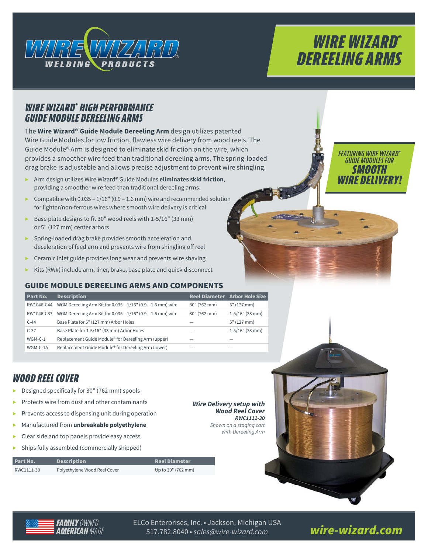

# *WIRE WIZARD***®** *DEREELING ARMS*

## *WIRE WIZARD***®**  *HIGH PERFORMANCE GUIDE MODULE DEREELING ARMS*

The **Wire Wizard® Guide Module Dereeling Arm** design utilizes patented Wire Guide Modules for low friction, flawless wire delivery from wood reels. The Guide Module® Arm is designed to eliminate skid friction on the wire, which provides a smoother wire feed than traditional dereeling arms. The spring-loaded drag brake is adjustable and allows precise adjustment to prevent wire shingling.

- ▶ Arm design utilizes Wire Wizard® Guide Modules **eliminates skid friction**, providing a smoother wire feed than traditional dereeling arms
- ▶ Compatible with  $0.035 1/16$ " (0.9 1.6 mm) wire and recommended solution for lighter/non-ferrous wires where smooth wire delivery is critical
- ▶ Base plate designs to fit 30" wood reels with 1-5/16" (33 mm) or 5" (127 mm) center arbors
- ▶ Spring-loaded drag brake provides smooth acceleration and deceleration of feed arm and prevents wire from shingling off reel
- $\triangleright$  Ceramic inlet guide provides long wear and prevents wire shaving
- Kits (RW#) include arm, liner, brake, base plate and quick disconnect

#### GUIDE MODULE DEREELING ARMS AND COMPONENTS

| Part No.   | <b>Description</b>                                          |              | Reel Diameter Arbor Hole Size |
|------------|-------------------------------------------------------------|--------------|-------------------------------|
| RW1046-C44 | WGM Dereeling Arm Kit for 0.035 - 1/16" (0.9 - 1.6 mm) wire | 30" (762 mm) | 5" (127 mm)                   |
| RW1046-C37 | WGM Dereeling Arm Kit for 0.035 - 1/16" (0.9 - 1.6 mm) wire | 30" (762 mm) | $1-5/16"$ (33 mm)             |
| $C-44$     | Base Plate for 5" (127 mm) Arbor Holes                      |              | 5" (127 mm)                   |
| $C-37$     | Base Plate for 1-5/16" (33 mm) Arbor Holes                  |              | $1-5/16"$ (33 mm)             |
| WGM-C-1    | Replacement Guide Module® for Dereeling Arm (upper)         |              |                               |
| WGM-C-1A   | Replacement Guide Module® for Dereeling Arm (lower)         |              |                               |

# *WOOD REEL COVER*

- ▶ Designed specifically for 30" (762 mm) spools
- Protects wire from dust and other contaminants
- ▶ Prevents access to dispensing unit during operation
- ▶ Manufactured from **unbreakable polyethylene**
- Clear side and top panels provide easy access
- Ships fully assembled (commercially shipped)

| Part No.   | <b>Description</b>           | <b>Reel Diameter</b> |
|------------|------------------------------|----------------------|
| RWC1111-30 | Polyethylene Wood Reel Cover | Up to 30" (762 mm)   |

*Wire Delivery setup with Wood Reel Cover RWC1111-30*

*Shown on a staging cart with Dereeling Arm*





*[wire-wizard.com](http://www.wire-wizard.com/)* ELCo Enterprises, Inc. • Jackson, Michigan USA 517.782.8040 • *sales@wire-wizard.com*